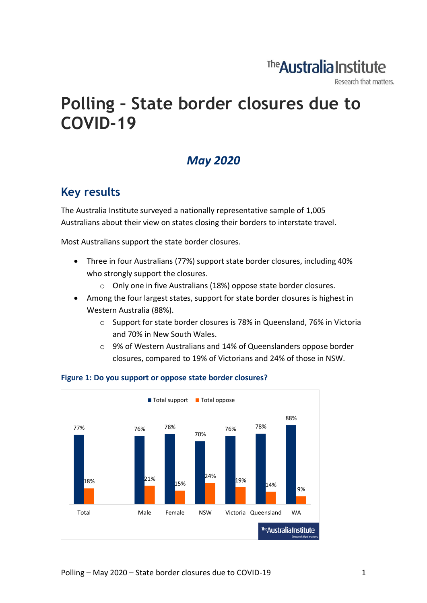## The **Australia Institute**

Research that matters.

# **Polling – State border closures due to COVID-19**

### *May 2020*

### **Key results**

The Australia Institute surveyed a nationally representative sample of 1,005 Australians about their view on states closing their borders to interstate travel.

Most Australians support the state border closures.

- Three in four Australians (77%) support state border closures, including 40% who strongly support the closures.
	- o Only one in five Australians (18%) oppose state border closures.
- Among the four largest states, support for state border closures is highest in Western Australia (88%).
	- o Support for state border closures is 78% in Queensland, 76% in Victoria and 70% in New South Wales.
	- o 9% of Western Australians and 14% of Queenslanders oppose border closures, compared to 19% of Victorians and 24% of those in NSW.



#### **Figure 1: Do you support or oppose state border closures?**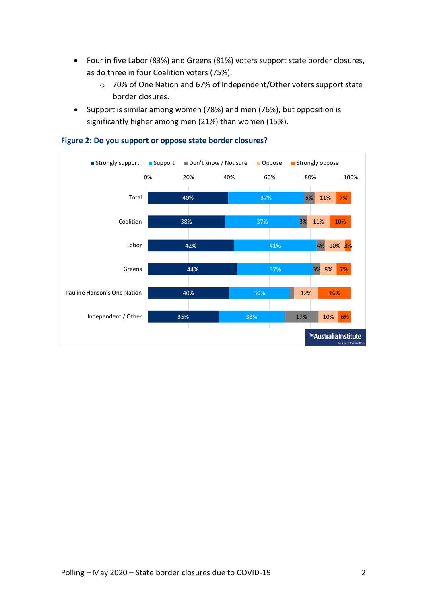- Four in five Labor (83%) and Greens (81%) voters support state border closures, as do three in four Coalition voters (75%).
	- o 70% of One Nation and 67% of Independent/Other voters support state border closures.
- Support is similar among women (78%) and men (76%), but opposition is significantly higher among men (21%) than women (15%).



#### **Figure 2: Do you support or oppose state border closures?**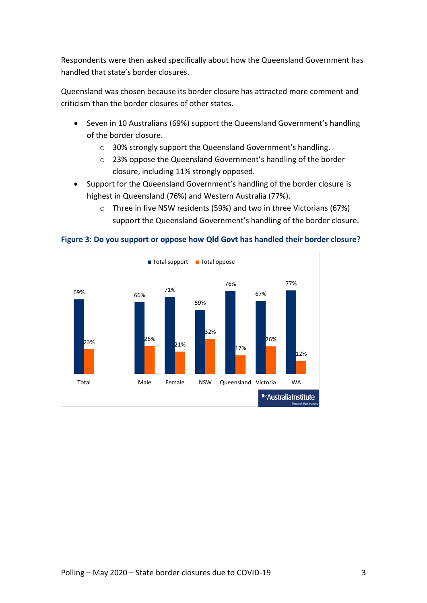Respondents were then asked specifically about how the Queensland Government has handled that state's border closures.

Queensland was chosen because its border closure has attracted more comment and criticism than the border closures of other states.

- Seven in 10 Australians (69%) support the Queensland Government's handling of the border closure.
	- o 30% strongly support the Queensland Government's handling.
	- o 23% oppose the Queensland Government's handling of the border closure, including 11% strongly opposed.
- Support for the Queensland Government's handling of the border closure is highest in Queensland (76%) and Western Australia (77%).
	- o Three in five NSW residents (59%) and two in three Victorians (67%) support the Queensland Government's handling of the border closure.



**Figure 3: Do you support or oppose how Qld Govt has handled their border closure?**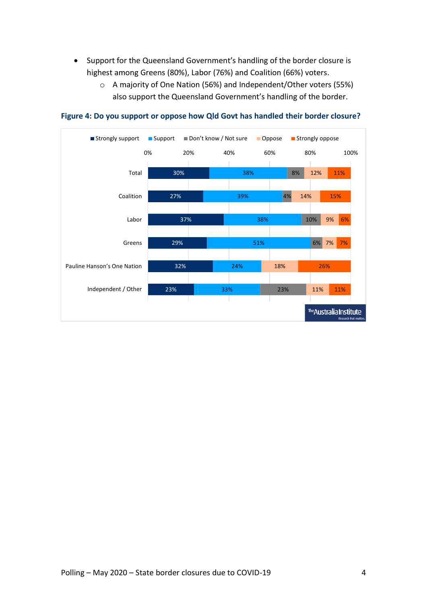- Support for the Queensland Government's handling of the border closure is highest among Greens (80%), Labor (76%) and Coalition (66%) voters.
	- o A majority of One Nation (56%) and Independent/Other voters (55%) also support the Queensland Government's handling of the border.



#### **Figure 4: Do you support or oppose how Qld Govt has handled their border closure?**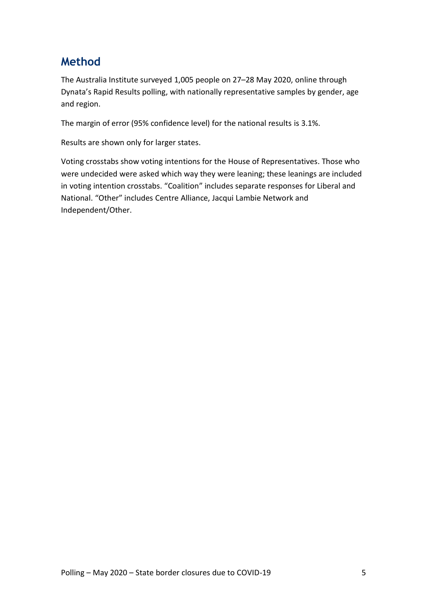### **Method**

The Australia Institute surveyed 1,005 people on 27–28 May 2020, online through Dynata's Rapid Results polling, with nationally representative samples by gender, age and region.

The margin of error (95% confidence level) for the national results is 3.1%.

Results are shown only for larger states.

Voting crosstabs show voting intentions for the House of Representatives. Those who were undecided were asked which way they were leaning; these leanings are included in voting intention crosstabs. "Coalition" includes separate responses for Liberal and National. "Other" includes Centre Alliance, Jacqui Lambie Network and Independent/Other.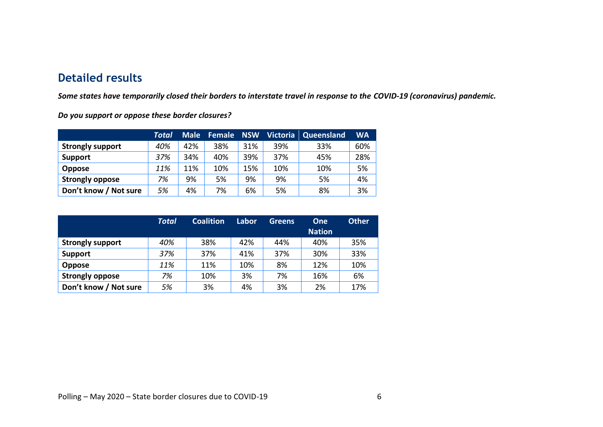### **Detailed results**

*Some states have temporarily closed their borders to interstate travel in response to the COVID-19 (coronavirus) pandemic.*

*Do you support or oppose these border closures?*

|                         | Total | Male <sup>'</sup> | Female | <b>NSW</b> | <b>Victoria</b> | Queensland | <b>WA</b> |
|-------------------------|-------|-------------------|--------|------------|-----------------|------------|-----------|
| <b>Strongly support</b> | 40%   | 42%               | 38%    | 31%        | 39%             | 33%        | 60%       |
| <b>Support</b>          | 37%   | 34%               | 40%    | 39%        | 37%             | 45%        | 28%       |
| <b>Oppose</b>           | 11%   | 11%               | 10%    | 15%        | 10%             | 10%        | 5%        |
| <b>Strongly oppose</b>  | 7%    | 9%                | 5%     | 9%         | 9%              | 5%         | 4%        |
| Don't know / Not sure   | 5%    | 4%                | 7%     | 6%         | 5%              | 8%         | 3%        |

|                         | <b>Total</b> | <b>Coalition</b> | Labor | <b>Greens</b> | <b>One</b><br><b>Nation</b> | <b>Other</b> |
|-------------------------|--------------|------------------|-------|---------------|-----------------------------|--------------|
| <b>Strongly support</b> | 40%          | 38%              | 42%   | 44%           | 40%                         | 35%          |
| <b>Support</b>          | 37%          | 37%              | 41%   | 37%           | 30%                         | 33%          |
| <b>Oppose</b>           | 11%          | 11%              | 10%   | 8%            | 12%                         | 10%          |
| <b>Strongly oppose</b>  | 7%           | 10%              | 3%    | 7%            | 16%                         | 6%           |
| Don't know / Not sure   | 5%           | 3%               | 4%    | 3%            | 2%                          | 17%          |